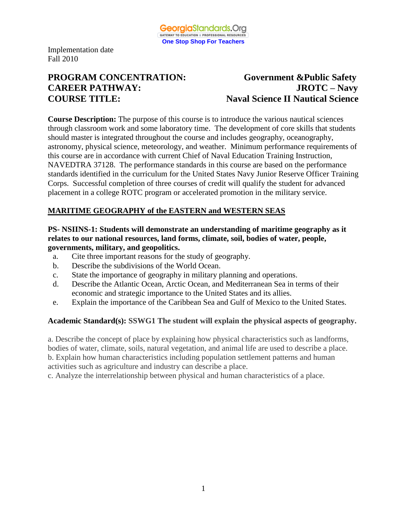

# **PROGRAM CONCENTRATION: Government &Public Safety CAREER PATHWAY: JROTC – Navy COURSE TITLE: Naval Science II Nautical Science**

**Course Description:** The purpose of this course is to introduce the various nautical sciences through classroom work and some laboratory time. The development of core skills that students should master is integrated throughout the course and includes geography, oceanography, astronomy, physical science, meteorology, and weather. Minimum performance requirements of this course are in accordance with current Chief of Naval Education Training Instruction, NAVEDTRA 37128. The performance standards in this course are based on the performance standards identified in the curriculum for the United States Navy Junior Reserve Officer Training Corps. Successful completion of three courses of credit will qualify the student for advanced placement in a college ROTC program or accelerated promotion in the military service.

# **MARITIME GEOGRAPHY of the EASTERN and WESTERN SEAS**

#### **PS- NSIINS-1: Students will demonstrate an understanding of maritime geography as it relates to our national resources, land forms, climate, soil, bodies of water, people, governments, military, and geopolitics.**

- a. Cite three important reasons for the study of geography.
- b. Describe the subdivisions of the World Ocean.
- c. State the importance of geography in military planning and operations.
- d. Describe the Atlantic Ocean, Arctic Ocean, and Mediterranean Sea in terms of their economic and strategic importance to the United States and its allies.
- e. Explain the importance of the Caribbean Sea and Gulf of Mexico to the United States.

#### **Academic Standard(s): SSWG1 The student will explain the physical aspects of geography.**

a. Describe the concept of place by explaining how physical characteristics such as landforms, bodies of water, climate, soils, natural vegetation, and animal life are used to describe a place. b. Explain how human characteristics including population settlement patterns and human activities such as agriculture and industry can describe a place.

c. Analyze the interrelationship between physical and human characteristics of a place.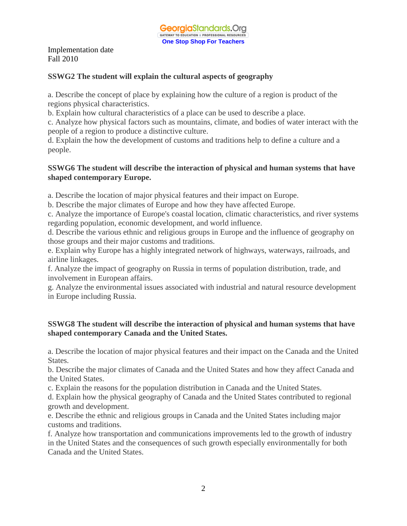#### **SSWG2 The student will explain the cultural aspects of geography**

a. Describe the concept of place by explaining how the culture of a region is product of the regions physical characteristics.

b. Explain how cultural characteristics of a place can be used to describe a place.

c. Analyze how physical factors such as mountains, climate, and bodies of water interact with the people of a region to produce a distinctive culture.

d. Explain the how the development of customs and traditions help to define a culture and a people.

#### **SSWG6 The student will describe the interaction of physical and human systems that have shaped contemporary Europe.**

a. Describe the location of major physical features and their impact on Europe.

b. Describe the major climates of Europe and how they have affected Europe.

c. Analyze the importance of Europe's coastal location, climatic characteristics, and river systems regarding population, economic development, and world influence.

d. Describe the various ethnic and religious groups in Europe and the influence of geography on those groups and their major customs and traditions.

e. Explain why Europe has a highly integrated network of highways, waterways, railroads, and airline linkages.

f. Analyze the impact of geography on Russia in terms of population distribution, trade, and involvement in European affairs.

g. Analyze the environmental issues associated with industrial and natural resource development in Europe including Russia.

#### **SSWG8 The student will describe the interaction of physical and human systems that have shaped contemporary Canada and the United States.**

a. Describe the location of major physical features and their impact on the Canada and the United States.

b. Describe the major climates of Canada and the United States and how they affect Canada and the United States.

c. Explain the reasons for the population distribution in Canada and the United States.

d. Explain how the physical geography of Canada and the United States contributed to regional growth and development.

e. Describe the ethnic and religious groups in Canada and the United States including major customs and traditions.

f. Analyze how transportation and communications improvements led to the growth of industry in the United States and the consequences of such growth especially environmentally for both Canada and the United States.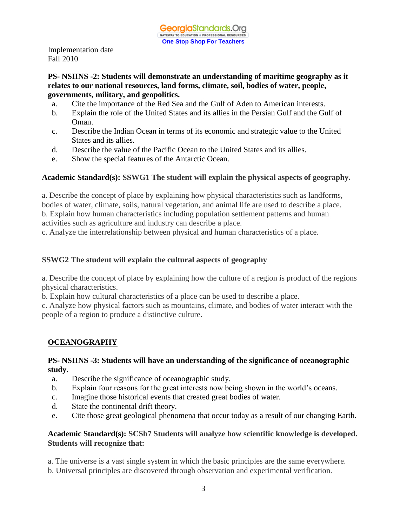#### **PS- NSIINS -2: Students will demonstrate an understanding of maritime geography as it relates to our national resources, land forms, climate, soil, bodies of water, people, governments, military, and geopolitics.**

- a. Cite the importance of the Red Sea and the Gulf of Aden to American interests.
- b. Explain the role of the United States and its allies in the Persian Gulf and the Gulf of Oman.
- c. Describe the Indian Ocean in terms of its economic and strategic value to the United States and its allies.
- d. Describe the value of the Pacific Ocean to the United States and its allies.
- e. Show the special features of the Antarctic Ocean.

#### **Academic Standard(s): SSWG1 The student will explain the physical aspects of geography.**

a. Describe the concept of place by explaining how physical characteristics such as landforms, bodies of water, climate, soils, natural vegetation, and animal life are used to describe a place. b. Explain how human characteristics including population settlement patterns and human activities such as agriculture and industry can describe a place.

c. Analyze the interrelationship between physical and human characteristics of a place.

#### **SSWG2 The student will explain the cultural aspects of geography**

a. Describe the concept of place by explaining how the culture of a region is product of the regions physical characteristics.

b. Explain how cultural characteristics of a place can be used to describe a place.

c. Analyze how physical factors such as mountains, climate, and bodies of water interact with the people of a region to produce a distinctive culture.

# **OCEANOGRAPHY**

#### **PS- NSIINS -3: Students will have an understanding of the significance of oceanographic study.**

- a. Describe the significance of oceanographic study.
- b. Explain four reasons for the great interests now being shown in the world's oceans.
- c. Imagine those historical events that created great bodies of water.
- d. State the continental drift theory.
- e. Cite those great geological phenomena that occur today as a result of our changing Earth.

## **Academic Standard(s): SCSh7 Students will analyze how scientific knowledge is developed. Students will recognize that:**

- a. The universe is a vast single system in which the basic principles are the same everywhere.
- b. Universal principles are discovered through observation and experimental verification.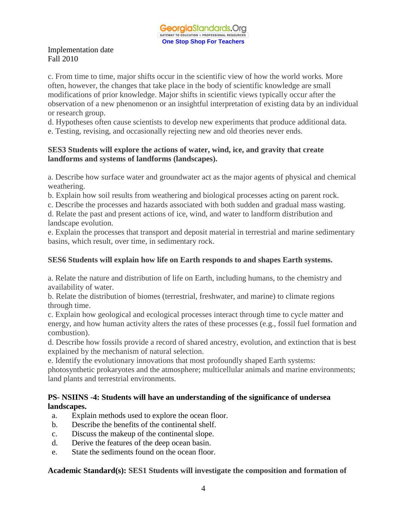c. From time to time, major shifts occur in the scientific view of how the world works. More often, however, the changes that take place in the body of scientific knowledge are small modifications of prior knowledge. Major shifts in scientific views typically occur after the observation of a new phenomenon or an insightful interpretation of existing data by an individual or research group.

d. Hypotheses often cause scientists to develop new experiments that produce additional data.

e. Testing, revising, and occasionally rejecting new and old theories never ends.

#### **SES3 Students will explore the actions of water, wind, ice, and gravity that create landforms and systems of landforms (landscapes).**

a. Describe how surface water and groundwater act as the major agents of physical and chemical weathering.

b. Explain how soil results from weathering and biological processes acting on parent rock.

c. Describe the processes and hazards associated with both sudden and gradual mass wasting.

d. Relate the past and present actions of ice, wind, and water to landform distribution and landscape evolution.

e. Explain the processes that transport and deposit material in terrestrial and marine sedimentary basins, which result, over time, in sedimentary rock.

## **SES6 Students will explain how life on Earth responds to and shapes Earth systems.**

a. Relate the nature and distribution of life on Earth, including humans, to the chemistry and availability of water.

b. Relate the distribution of biomes (terrestrial, freshwater, and marine) to climate regions through time.

c. Explain how geological and ecological processes interact through time to cycle matter and energy, and how human activity alters the rates of these processes (e.g., fossil fuel formation and combustion).

d. Describe how fossils provide a record of shared ancestry, evolution, and extinction that is best explained by the mechanism of natural selection.

e. Identify the evolutionary innovations that most profoundly shaped Earth systems:

photosynthetic prokaryotes and the atmosphere; multicellular animals and marine environments; land plants and terrestrial environments.

## **PS- NSIINS -4: Students will have an understanding of the significance of undersea landscapes.**

- a. Explain methods used to explore the ocean floor.
- b. Describe the benefits of the continental shelf.
- c. Discuss the makeup of the continental slope.
- d. Derive the features of the deep ocean basin.
- e. State the sediments found on the ocean floor.

## **Academic Standard(s): SES1 Students will investigate the composition and formation of**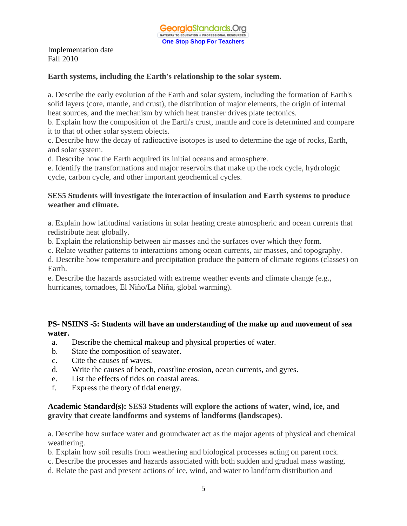#### **Earth systems, including the Earth's relationship to the solar system.**

a. Describe the early evolution of the Earth and solar system, including the formation of Earth's solid layers (core, mantle, and crust), the distribution of major elements, the origin of internal heat sources, and the mechanism by which heat transfer drives plate tectonics.

b. Explain how the composition of the Earth's crust, mantle and core is determined and compare it to that of other solar system objects.

c. Describe how the decay of radioactive isotopes is used to determine the age of rocks, Earth, and solar system.

d. Describe how the Earth acquired its initial oceans and atmosphere.

e. Identify the transformations and major reservoirs that make up the rock cycle, hydrologic cycle, carbon cycle, and other important geochemical cycles.

#### **SES5 Students will investigate the interaction of insulation and Earth systems to produce weather and climate.**

a. Explain how latitudinal variations in solar heating create atmospheric and ocean currents that redistribute heat globally.

b. Explain the relationship between air masses and the surfaces over which they form.

c. Relate weather patterns to interactions among ocean currents, air masses, and topography.

d. Describe how temperature and precipitation produce the pattern of climate regions (classes) on Earth.

e. Describe the hazards associated with extreme weather events and climate change (e.g., hurricanes, tornadoes, El Niño/La Niña, global warming).

## **PS- NSIINS -5: Students will have an understanding of the make up and movement of sea water.**

- a. Describe the chemical makeup and physical properties of water.
- b. State the composition of seawater.
- c. Cite the causes of waves.
- d. Write the causes of beach, coastline erosion, ocean currents, and gyres.
- e. List the effects of tides on coastal areas.
- f. Express the theory of tidal energy.

#### **Academic Standard(s): SES3 Students will explore the actions of water, wind, ice, and gravity that create landforms and systems of landforms (landscapes).**

a. Describe how surface water and groundwater act as the major agents of physical and chemical weathering.

- b. Explain how soil results from weathering and biological processes acting on parent rock.
- c. Describe the processes and hazards associated with both sudden and gradual mass wasting.
- d. Relate the past and present actions of ice, wind, and water to landform distribution and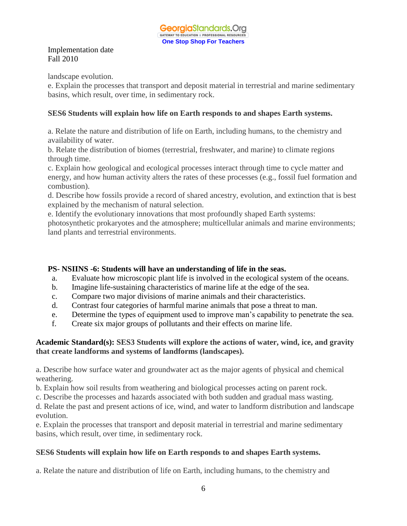landscape evolution.

e. Explain the processes that transport and deposit material in terrestrial and marine sedimentary basins, which result, over time, in sedimentary rock.

# **SES6 Students will explain how life on Earth responds to and shapes Earth systems.**

a. Relate the nature and distribution of life on Earth, including humans, to the chemistry and availability of water.

b. Relate the distribution of biomes (terrestrial, freshwater, and marine) to climate regions through time.

c. Explain how geological and ecological processes interact through time to cycle matter and energy, and how human activity alters the rates of these processes (e.g., fossil fuel formation and combustion).

d. Describe how fossils provide a record of shared ancestry, evolution, and extinction that is best explained by the mechanism of natural selection.

e. Identify the evolutionary innovations that most profoundly shaped Earth systems:

photosynthetic prokaryotes and the atmosphere; multicellular animals and marine environments; land plants and terrestrial environments.

# **PS- NSIINS -6: Students will have an understanding of life in the seas.**

- a. Evaluate how microscopic plant life is involved in the ecological system of the oceans.
- b. Imagine life-sustaining characteristics of marine life at the edge of the sea.
- c. Compare two major divisions of marine animals and their characteristics.
- d. Contrast four categories of harmful marine animals that pose a threat to man.
- e. Determine the types of equipment used to improve man's capability to penetrate the sea.
- f. Create six major groups of pollutants and their effects on marine life.

# **Academic Standard(s): SES3 Students will explore the actions of water, wind, ice, and gravity that create landforms and systems of landforms (landscapes).**

a. Describe how surface water and groundwater act as the major agents of physical and chemical weathering.

b. Explain how soil results from weathering and biological processes acting on parent rock.

c. Describe the processes and hazards associated with both sudden and gradual mass wasting.

d. Relate the past and present actions of ice, wind, and water to landform distribution and landscape evolution.

e. Explain the processes that transport and deposit material in terrestrial and marine sedimentary basins, which result, over time, in sedimentary rock.

# **SES6 Students will explain how life on Earth responds to and shapes Earth systems.**

a. Relate the nature and distribution of life on Earth, including humans, to the chemistry and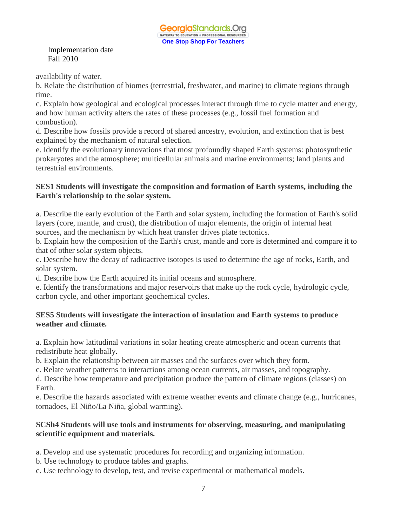availability of water.

b. Relate the distribution of biomes (terrestrial, freshwater, and marine) to climate regions through time.

c. Explain how geological and ecological processes interact through time to cycle matter and energy, and how human activity alters the rates of these processes (e.g., fossil fuel formation and combustion).

d. Describe how fossils provide a record of shared ancestry, evolution, and extinction that is best explained by the mechanism of natural selection.

e. Identify the evolutionary innovations that most profoundly shaped Earth systems: photosynthetic prokaryotes and the atmosphere; multicellular animals and marine environments; land plants and terrestrial environments.

## **SES1 Students will investigate the composition and formation of Earth systems, including the Earth's relationship to the solar system.**

a. Describe the early evolution of the Earth and solar system, including the formation of Earth's solid layers (core, mantle, and crust), the distribution of major elements, the origin of internal heat sources, and the mechanism by which heat transfer drives plate tectonics.

b. Explain how the composition of the Earth's crust, mantle and core is determined and compare it to that of other solar system objects.

c. Describe how the decay of radioactive isotopes is used to determine the age of rocks, Earth, and solar system.

d. Describe how the Earth acquired its initial oceans and atmosphere.

e. Identify the transformations and major reservoirs that make up the rock cycle, hydrologic cycle, carbon cycle, and other important geochemical cycles.

# **SES5 Students will investigate the interaction of insulation and Earth systems to produce weather and climate.**

a. Explain how latitudinal variations in solar heating create atmospheric and ocean currents that redistribute heat globally.

b. Explain the relationship between air masses and the surfaces over which they form.

c. Relate weather patterns to interactions among ocean currents, air masses, and topography.

d. Describe how temperature and precipitation produce the pattern of climate regions (classes) on Earth.

e. Describe the hazards associated with extreme weather events and climate change (e.g., hurricanes, tornadoes, El Niño/La Niña, global warming).

# **SCSh4 Students will use tools and instruments for observing, measuring, and manipulating scientific equipment and materials.**

a. Develop and use systematic procedures for recording and organizing information.

b. Use technology to produce tables and graphs.

c. Use technology to develop, test, and revise experimental or mathematical models.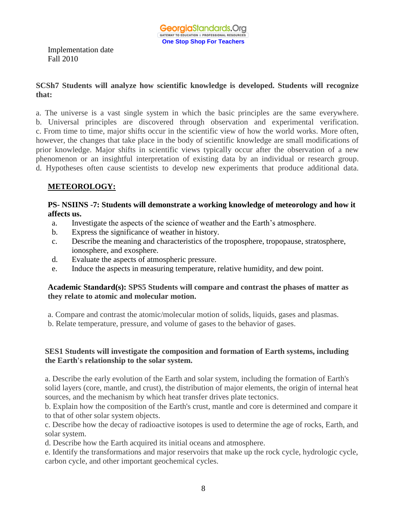#### **SCSh7 Students will analyze how scientific knowledge is developed. Students will recognize that:**

a. The universe is a vast single system in which the basic principles are the same everywhere. b. Universal principles are discovered through observation and experimental verification. c. From time to time, major shifts occur in the scientific view of how the world works. More often, however, the changes that take place in the body of scientific knowledge are small modifications of prior knowledge. Major shifts in scientific views typically occur after the observation of a new phenomenon or an insightful interpretation of existing data by an individual or research group. d. Hypotheses often cause scientists to develop new experiments that produce additional data.

# **METEOROLOGY:**

## **PS- NSIINS -7: Students will demonstrate a working knowledge of meteorology and how it affects us.**

- a. Investigate the aspects of the science of weather and the Earth's atmosphere.
- b. Express the significance of weather in history.
- c. Describe the meaning and characteristics of the troposphere, tropopause, stratosphere, ionosphere, and exosphere.
- d. Evaluate the aspects of atmospheric pressure.
- e. Induce the aspects in measuring temperature, relative humidity, and dew point.

#### **Academic Standard(s): SPS5 Students will compare and contrast the phases of matter as they relate to atomic and molecular motion.**

a. Compare and contrast the atomic/molecular motion of solids, liquids, gases and plasmas.

b. Relate temperature, pressure, and volume of gases to the behavior of gases.

## **SES1 Students will investigate the composition and formation of Earth systems, including the Earth's relationship to the solar system.**

a. Describe the early evolution of the Earth and solar system, including the formation of Earth's solid layers (core, mantle, and crust), the distribution of major elements, the origin of internal heat sources, and the mechanism by which heat transfer drives plate tectonics.

b. Explain how the composition of the Earth's crust, mantle and core is determined and compare it to that of other solar system objects.

c. Describe how the decay of radioactive isotopes is used to determine the age of rocks, Earth, and solar system.

d. Describe how the Earth acquired its initial oceans and atmosphere.

e. Identify the transformations and major reservoirs that make up the rock cycle, hydrologic cycle, carbon cycle, and other important geochemical cycles.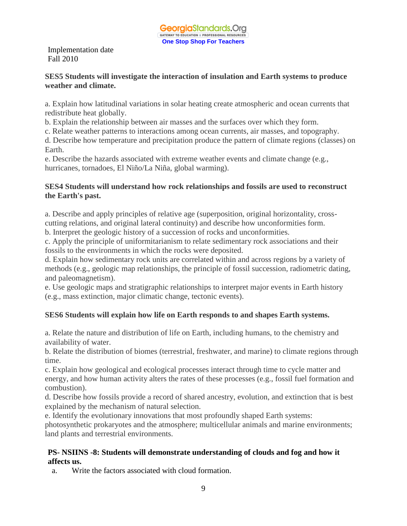#### **SES5 Students will investigate the interaction of insulation and Earth systems to produce weather and climate.**

a. Explain how latitudinal variations in solar heating create atmospheric and ocean currents that redistribute heat globally.

b. Explain the relationship between air masses and the surfaces over which they form.

c. Relate weather patterns to interactions among ocean currents, air masses, and topography.

d. Describe how temperature and precipitation produce the pattern of climate regions (classes) on Earth.

e. Describe the hazards associated with extreme weather events and climate change (e.g., hurricanes, tornadoes, El Niño/La Niña, global warming).

#### **SES4 Students will understand how rock relationships and fossils are used to reconstruct the Earth's past.**

a. Describe and apply principles of relative age (superposition, original horizontality, crosscutting relations, and original lateral continuity) and describe how unconformities form. b. Interpret the geologic history of a succession of rocks and unconformities.

c. Apply the principle of uniformitarianism to relate sedimentary rock associations and their fossils to the environments in which the rocks were deposited.

d. Explain how sedimentary rock units are correlated within and across regions by a variety of methods (e.g., geologic map relationships, the principle of fossil succession, radiometric dating, and paleomagnetism).

e. Use geologic maps and stratigraphic relationships to interpret major events in Earth history (e.g., mass extinction, major climatic change, tectonic events).

# **SES6 Students will explain how life on Earth responds to and shapes Earth systems.**

a. Relate the nature and distribution of life on Earth, including humans, to the chemistry and availability of water.

b. Relate the distribution of biomes (terrestrial, freshwater, and marine) to climate regions through time.

c. Explain how geological and ecological processes interact through time to cycle matter and energy, and how human activity alters the rates of these processes (e.g., fossil fuel formation and combustion).

d. Describe how fossils provide a record of shared ancestry, evolution, and extinction that is best explained by the mechanism of natural selection.

e. Identify the evolutionary innovations that most profoundly shaped Earth systems:

photosynthetic prokaryotes and the atmosphere; multicellular animals and marine environments; land plants and terrestrial environments.

## **PS- NSIINS -8: Students will demonstrate understanding of clouds and fog and how it affects us.**

a. Write the factors associated with cloud formation.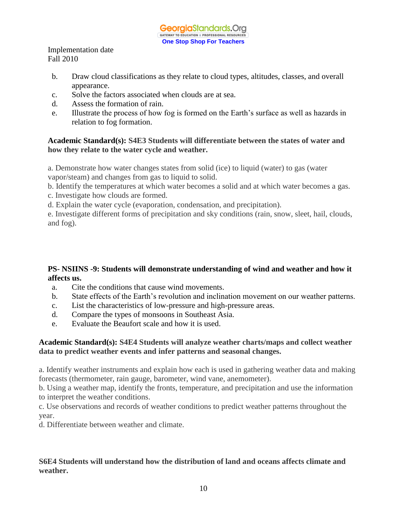

- b. Draw cloud classifications as they relate to cloud types, altitudes, classes, and overall appearance.
- c. Solve the factors associated when clouds are at sea.
- d. Assess the formation of rain.
- e. Illustrate the process of how fog is formed on the Earth's surface as well as hazards in relation to fog formation.

#### **Academic Standard(s): S4E3 Students will differentiate between the states of water and how they relate to the water cycle and weather.**

a. Demonstrate how water changes states from solid (ice) to liquid (water) to gas (water vapor/steam) and changes from gas to liquid to solid.

b. Identify the temperatures at which water becomes a solid and at which water becomes a gas.

c. Investigate how clouds are formed.

d. Explain the water cycle (evaporation, condensation, and precipitation).

e. Investigate different forms of precipitation and sky conditions (rain, snow, sleet, hail, clouds, and fog).

# **PS- NSIINS -9: Students will demonstrate understanding of wind and weather and how it affects us.**

- a. Cite the conditions that cause wind movements.
- b. State effects of the Earth's revolution and inclination movement on our weather patterns.
- c. List the characteristics of low-pressure and high-pressure areas.
- d. Compare the types of monsoons in Southeast Asia.
- e. Evaluate the Beaufort scale and how it is used.

## **Academic Standard(s): S4E4 Students will analyze weather charts/maps and collect weather data to predict weather events and infer patterns and seasonal changes.**

a. Identify weather instruments and explain how each is used in gathering weather data and making forecasts (thermometer, rain gauge, barometer, wind vane, anemometer).

b. Using a weather map, identify the fronts, temperature, and precipitation and use the information to interpret the weather conditions.

c. Use observations and records of weather conditions to predict weather patterns throughout the year.

d. Differentiate between weather and climate.

# **S6E4 Students will understand how the distribution of land and oceans affects climate and weather.**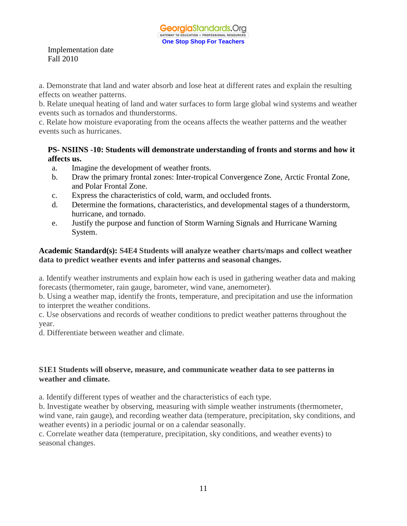a. Demonstrate that land and water absorb and lose heat at different rates and explain the resulting effects on weather patterns.

b. Relate unequal heating of land and water surfaces to form large global wind systems and weather events such as tornados and thunderstorms.

c. Relate how moisture evaporating from the oceans affects the weather patterns and the weather events such as hurricanes.

## **PS- NSIINS -10: Students will demonstrate understanding of fronts and storms and how it affects us.**

- a. Imagine the development of weather fronts.
- b. Draw the primary frontal zones: Inter-tropical Convergence Zone, Arctic Frontal Zone, and Polar Frontal Zone.
- c. Express the characteristics of cold, warm, and occluded fronts.
- d. Determine the formations, characteristics, and developmental stages of a thunderstorm, hurricane, and tornado.
- e. Justify the purpose and function of Storm Warning Signals and Hurricane Warning System.

# **Academic Standard(s): S4E4 Students will analyze weather charts/maps and collect weather data to predict weather events and infer patterns and seasonal changes.**

a. Identify weather instruments and explain how each is used in gathering weather data and making forecasts (thermometer, rain gauge, barometer, wind vane, anemometer).

b. Using a weather map, identify the fronts, temperature, and precipitation and use the information to interpret the weather conditions.

c. Use observations and records of weather conditions to predict weather patterns throughout the year.

d. Differentiate between weather and climate.

# **S1E1 Students will observe, measure, and communicate weather data to see patterns in weather and climate.**

a. Identify different types of weather and the characteristics of each type.

b. Investigate weather by observing, measuring with simple weather instruments (thermometer, wind vane, rain gauge), and recording weather data (temperature, precipitation, sky conditions, and weather events) in a periodic journal or on a calendar seasonally.

c. Correlate weather data (temperature, precipitation, sky conditions, and weather events) to seasonal changes.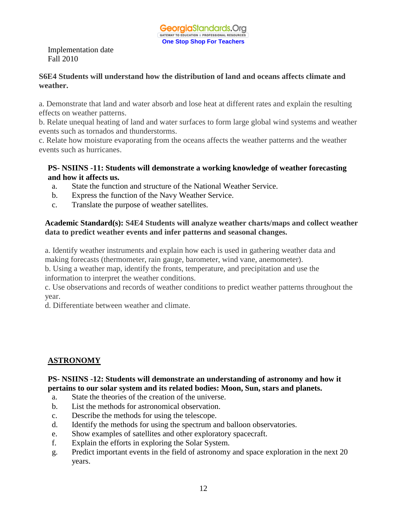## **S6E4 Students will understand how the distribution of land and oceans affects climate and weather.**

a. Demonstrate that land and water absorb and lose heat at different rates and explain the resulting effects on weather patterns.

b. Relate unequal heating of land and water surfaces to form large global wind systems and weather events such as tornados and thunderstorms.

c. Relate how moisture evaporating from the oceans affects the weather patterns and the weather events such as hurricanes.

## **PS- NSIINS -11: Students will demonstrate a working knowledge of weather forecasting and how it affects us.**

- a. State the function and structure of the National Weather Service.
- b. Express the function of the Navy Weather Service.
- c. Translate the purpose of weather satellites.

# **Academic Standard(s): S4E4 Students will analyze weather charts/maps and collect weather data to predict weather events and infer patterns and seasonal changes.**

a. Identify weather instruments and explain how each is used in gathering weather data and making forecasts (thermometer, rain gauge, barometer, wind vane, anemometer).

b. Using a weather map, identify the fronts, temperature, and precipitation and use the information to interpret the weather conditions.

c. Use observations and records of weather conditions to predict weather patterns throughout the year.

d. Differentiate between weather and climate.

# **ASTRONOMY**

#### **PS- NSIINS -12: Students will demonstrate an understanding of astronomy and how it pertains to our solar system and its related bodies: Moon, Sun, stars and planets.**

- a. State the theories of the creation of the universe.
- b. List the methods for astronomical observation.
- c. Describe the methods for using the telescope.
- d. Identify the methods for using the spectrum and balloon observatories.
- e. Show examples of satellites and other exploratory spacecraft.
- f. Explain the efforts in exploring the Solar System.
- g. Predict important events in the field of astronomy and space exploration in the next 20 years.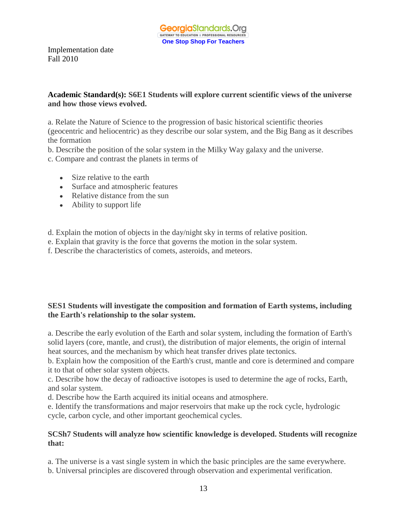#### **Academic Standard(s): S6E1 Students will explore current scientific views of the universe and how those views evolved.**

a. Relate the Nature of Science to the progression of basic historical scientific theories (geocentric and heliocentric) as they describe our solar system, and the Big Bang as it describes the formation

- b. Describe the position of the solar system in the Milky Way galaxy and the universe.
- c. Compare and contrast the planets in terms of
	- Size relative to the earth
	- Surface and atmospheric features
	- Relative distance from the sun
	- Ability to support life

d. Explain the motion of objects in the day/night sky in terms of relative position.

e. Explain that gravity is the force that governs the motion in the solar system.

f. Describe the characteristics of comets, asteroids, and meteors.

# **SES1 Students will investigate the composition and formation of Earth systems, including the Earth's relationship to the solar system.**

a. Describe the early evolution of the Earth and solar system, including the formation of Earth's solid layers (core, mantle, and crust), the distribution of major elements, the origin of internal heat sources, and the mechanism by which heat transfer drives plate tectonics.

b. Explain how the composition of the Earth's crust, mantle and core is determined and compare it to that of other solar system objects.

c. Describe how the decay of radioactive isotopes is used to determine the age of rocks, Earth, and solar system.

d. Describe how the Earth acquired its initial oceans and atmosphere.

e. Identify the transformations and major reservoirs that make up the rock cycle, hydrologic cycle, carbon cycle, and other important geochemical cycles.

## **SCSh7 Students will analyze how scientific knowledge is developed. Students will recognize that:**

a. The universe is a vast single system in which the basic principles are the same everywhere. b. Universal principles are discovered through observation and experimental verification.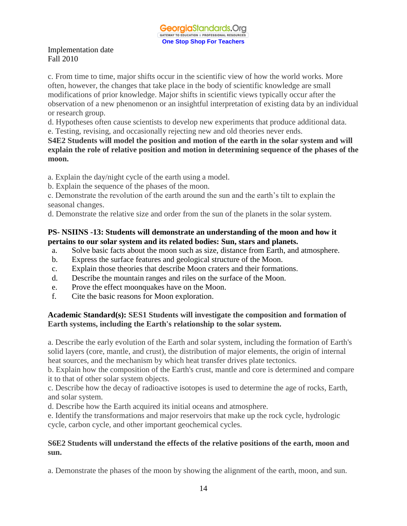c. From time to time, major shifts occur in the scientific view of how the world works. More often, however, the changes that take place in the body of scientific knowledge are small modifications of prior knowledge. Major shifts in scientific views typically occur after the observation of a new phenomenon or an insightful interpretation of existing data by an individual or research group.

d. Hypotheses often cause scientists to develop new experiments that produce additional data.

e. Testing, revising, and occasionally rejecting new and old theories never ends.

**S4E2 Students will model the position and motion of the earth in the solar system and will explain the role of relative position and motion in determining sequence of the phases of the moon.**

a. Explain the day/night cycle of the earth using a model.

b. Explain the sequence of the phases of the moon.

c. Demonstrate the revolution of the earth around the sun and the earth's tilt to explain the seasonal changes.

d. Demonstrate the relative size and order from the sun of the planets in the solar system.

# **PS- NSIINS -13: Students will demonstrate an understanding of the moon and how it pertains to our solar system and its related bodies: Sun, stars and planets.**

- a. Solve basic facts about the moon such as size, distance from Earth, and atmosphere.
- b. Express the surface features and geological structure of the Moon.
- c. Explain those theories that describe Moon craters and their formations.
- d. Describe the mountain ranges and riles on the surface of the Moon.
- e. Prove the effect moonquakes have on the Moon.
- f. Cite the basic reasons for Moon exploration.

# **Academic Standard(s): SES1 Students will investigate the composition and formation of Earth systems, including the Earth's relationship to the solar system.**

a. Describe the early evolution of the Earth and solar system, including the formation of Earth's solid layers (core, mantle, and crust), the distribution of major elements, the origin of internal heat sources, and the mechanism by which heat transfer drives plate tectonics.

b. Explain how the composition of the Earth's crust, mantle and core is determined and compare it to that of other solar system objects.

c. Describe how the decay of radioactive isotopes is used to determine the age of rocks, Earth, and solar system.

d. Describe how the Earth acquired its initial oceans and atmosphere.

e. Identify the transformations and major reservoirs that make up the rock cycle, hydrologic cycle, carbon cycle, and other important geochemical cycles.

# **S6E2 Students will understand the effects of the relative positions of the earth, moon and sun.**

a. Demonstrate the phases of the moon by showing the alignment of the earth, moon, and sun.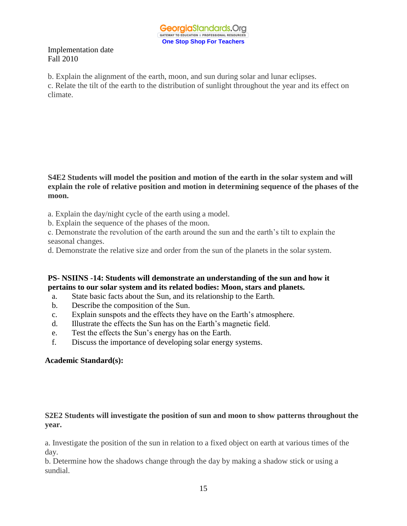

b. Explain the alignment of the earth, moon, and sun during solar and lunar eclipses.

c. Relate the tilt of the earth to the distribution of sunlight throughout the year and its effect on climate.

**S4E2 Students will model the position and motion of the earth in the solar system and will explain the role of relative position and motion in determining sequence of the phases of the moon.**

- a. Explain the day/night cycle of the earth using a model.
- b. Explain the sequence of the phases of the moon.

c. Demonstrate the revolution of the earth around the sun and the earth's tilt to explain the seasonal changes.

d. Demonstrate the relative size and order from the sun of the planets in the solar system.

#### **PS- NSIINS -14: Students will demonstrate an understanding of the sun and how it pertains to our solar system and its related bodies: Moon, stars and planets.**

- a. State basic facts about the Sun, and its relationship to the Earth.
- b. Describe the composition of the Sun.
- c. Explain sunspots and the effects they have on the Earth's atmosphere.
- d. Illustrate the effects the Sun has on the Earth's magnetic field.
- e. Test the effects the Sun's energy has on the Earth.
- f. Discuss the importance of developing solar energy systems.

## **Academic Standard(s):**

#### **S2E2 Students will investigate the position of sun and moon to show patterns throughout the year.**

a. Investigate the position of the sun in relation to a fixed object on earth at various times of the day.

b. Determine how the shadows change through the day by making a shadow stick or using a sundial.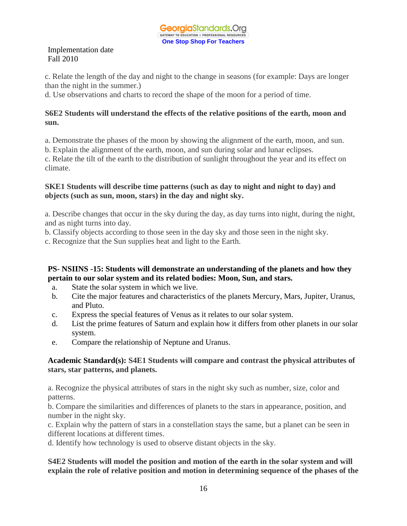c. Relate the length of the day and night to the change in seasons (for example: Days are longer than the night in the summer.)

d. Use observations and charts to record the shape of the moon for a period of time.

## **S6E2 Students will understand the effects of the relative positions of the earth, moon and sun.**

a. Demonstrate the phases of the moon by showing the alignment of the earth, moon, and sun.

b. Explain the alignment of the earth, moon, and sun during solar and lunar eclipses.

c. Relate the tilt of the earth to the distribution of sunlight throughout the year and its effect on climate.

## **SKE1 Students will describe time patterns (such as day to night and night to day) and objects (such as sun, moon, stars) in the day and night sky.**

a. Describe changes that occur in the sky during the day, as day turns into night, during the night, and as night turns into day.

b. Classify objects according to those seen in the day sky and those seen in the night sky.

c. Recognize that the Sun supplies heat and light to the Earth.

# **PS- NSIINS -15: Students will demonstrate an understanding of the planets and how they pertain to our solar system and its related bodies: Moon, Sun, and stars.**

- a. State the solar system in which we live.
- b. Cite the major features and characteristics of the planets Mercury, Mars, Jupiter, Uranus, and Pluto.
- c. Express the special features of Venus as it relates to our solar system.
- d. List the prime features of Saturn and explain how it differs from other planets in our solar system.
- e. Compare the relationship of Neptune and Uranus.

# **Academic Standard(s): S4E1 Students will compare and contrast the physical attributes of stars, star patterns, and planets.**

a. Recognize the physical attributes of stars in the night sky such as number, size, color and patterns.

b. Compare the similarities and differences of planets to the stars in appearance, position, and number in the night sky.

c. Explain why the pattern of stars in a constellation stays the same, but a planet can be seen in different locations at different times.

d. Identify how technology is used to observe distant objects in the sky.

## **S4E2 Students will model the position and motion of the earth in the solar system and will explain the role of relative position and motion in determining sequence of the phases of the**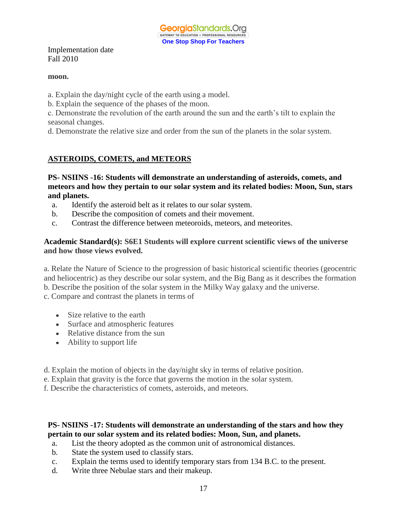**GeorgiaStandards.Org** GATEWAY TO EDUCATION & PROFESSIONAL RESOURCE **One Stop Shop For Teachers**

Implementation date Fall 2010

#### **moon.**

a. Explain the day/night cycle of the earth using a model.

b. Explain the sequence of the phases of the moon.

c. Demonstrate the revolution of the earth around the sun and the earth's tilt to explain the seasonal changes.

d. Demonstrate the relative size and order from the sun of the planets in the solar system.

# **ASTEROIDS, COMETS, and METEORS**

**PS- NSIINS -16: Students will demonstrate an understanding of asteroids, comets, and meteors and how they pertain to our solar system and its related bodies: Moon, Sun, stars and planets.**

- a. Identify the asteroid belt as it relates to our solar system.
- b. Describe the composition of comets and their movement.
- c. Contrast the difference between meteoroids, meteors, and meteorites.

#### **Academic Standard(s): S6E1 Students will explore current scientific views of the universe and how those views evolved.**

a. Relate the Nature of Science to the progression of basic historical scientific theories (geocentric and heliocentric) as they describe our solar system, and the Big Bang as it describes the formation b. Describe the position of the solar system in the Milky Way galaxy and the universe.

c. Compare and contrast the planets in terms of

- Size relative to the earth
- Surface and atmospheric features
- Relative distance from the sun
- Ability to support life
- d. Explain the motion of objects in the day/night sky in terms of relative position.
- e. Explain that gravity is the force that governs the motion in the solar system.

f. Describe the characteristics of comets, asteroids, and meteors.

## **PS- NSIINS -17: Students will demonstrate an understanding of the stars and how they pertain to our solar system and its related bodies: Moon, Sun, and planets.**

- a. List the theory adopted as the common unit of astronomical distances.
- b. State the system used to classify stars.
- c. Explain the terms used to identify temporary stars from 134 B.C. to the present.
- d. Write three Nebulae stars and their makeup.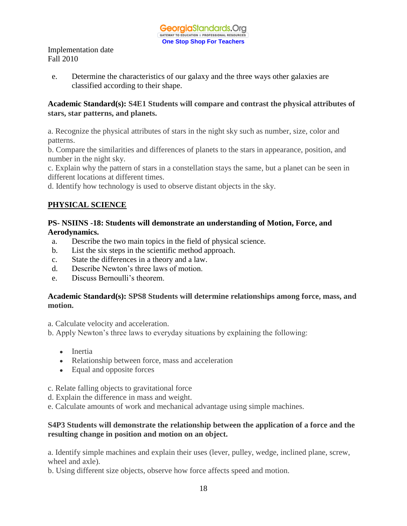e. Determine the characteristics of our galaxy and the three ways other galaxies are classified according to their shape.

## **Academic Standard(s): S4E1 Students will compare and contrast the physical attributes of stars, star patterns, and planets.**

a. Recognize the physical attributes of stars in the night sky such as number, size, color and patterns.

b. Compare the similarities and differences of planets to the stars in appearance, position, and number in the night sky.

c. Explain why the pattern of stars in a constellation stays the same, but a planet can be seen in different locations at different times.

d. Identify how technology is used to observe distant objects in the sky.

# **PHYSICAL SCIENCE**

## **PS- NSIINS -18: Students will demonstrate an understanding of Motion, Force, and Aerodynamics.**

- a. Describe the two main topics in the field of physical science.
- b. List the six steps in the scientific method approach.
- c. State the differences in a theory and a law.
- d. Describe Newton's three laws of motion.
- e. Discuss Bernoulli's theorem.

## **Academic Standard(s): SPS8 Students will determine relationships among force, mass, and motion.**

a. Calculate velocity and acceleration.

b. Apply Newton's three laws to everyday situations by explaining the following:

- Inertia
- Relationship between force, mass and acceleration
- Equal and opposite forces
- c. Relate falling objects to gravitational force
- d. Explain the difference in mass and weight.
- e. Calculate amounts of work and mechanical advantage using simple machines.

## **S4P3 Students will demonstrate the relationship between the application of a force and the resulting change in position and motion on an object.**

a. Identify simple machines and explain their uses (lever, pulley, wedge, inclined plane, screw, wheel and axle).

b. Using different size objects, observe how force affects speed and motion.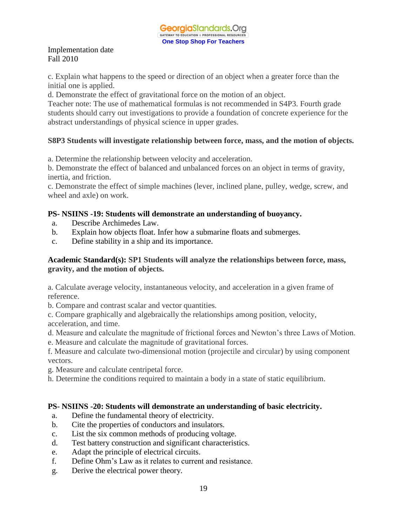c. Explain what happens to the speed or direction of an object when a greater force than the initial one is applied.

d. Demonstrate the effect of gravitational force on the motion of an object.

Teacher note: The use of mathematical formulas is not recommended in S4P3. Fourth grade students should carry out investigations to provide a foundation of concrete experience for the abstract understandings of physical science in upper grades.

# **S8P3 Students will investigate relationship between force, mass, and the motion of objects.**

a. Determine the relationship between velocity and acceleration.

b. Demonstrate the effect of balanced and unbalanced forces on an object in terms of gravity, inertia, and friction.

c. Demonstrate the effect of simple machines (lever, inclined plane, pulley, wedge, screw, and wheel and axle) on work.

# **PS- NSIINS -19: Students will demonstrate an understanding of buoyancy.**

- a. Describe Archimedes Law.
- b. Explain how objects float. Infer how a submarine floats and submerges.
- c. Define stability in a ship and its importance.

## **Academic Standard(s): SP1 Students will analyze the relationships between force, mass, gravity, and the motion of objects.**

a. Calculate average velocity, instantaneous velocity, and acceleration in a given frame of reference.

b. Compare and contrast scalar and vector quantities.

c. Compare graphically and algebraically the relationships among position, velocity, acceleration, and time.

d. Measure and calculate the magnitude of frictional forces and Newton's three Laws of Motion.

e. Measure and calculate the magnitude of gravitational forces.

f. Measure and calculate two-dimensional motion (projectile and circular) by using component vectors.

g. Measure and calculate centripetal force.

h. Determine the conditions required to maintain a body in a state of static equilibrium.

## **PS- NSIINS -20: Students will demonstrate an understanding of basic electricity.**

- a. Define the fundamental theory of electricity.
- b. Cite the properties of conductors and insulators.
- c. List the six common methods of producing voltage.
- d. Test battery construction and significant characteristics.
- e. Adapt the principle of electrical circuits.
- f. Define Ohm's Law as it relates to current and resistance.
- g. Derive the electrical power theory.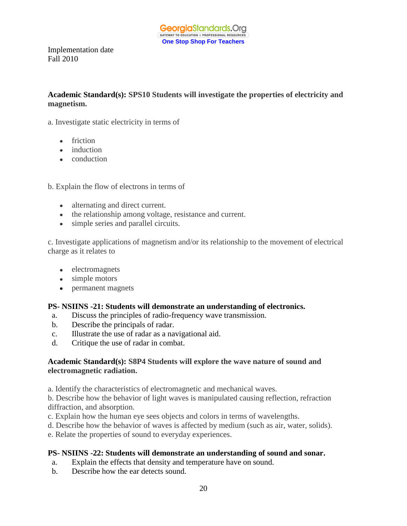**Academic Standard(s): SPS10 Students will investigate the properties of electricity and magnetism.**

a. Investigate static electricity in terms of

- friction
- induction
- conduction

b. Explain the flow of electrons in terms of

- alternating and direct current.
- the relationship among voltage, resistance and current.
- simple series and parallel circuits.

c. Investigate applications of magnetism and/or its relationship to the movement of electrical charge as it relates to

- electromagnets
- simple motors
- permanent magnets

#### **PS- NSIINS -21: Students will demonstrate an understanding of electronics.**

- a. Discuss the principles of radio-frequency wave transmission.
- b. Describe the principals of radar.
- c. Illustrate the use of radar as a navigational aid.
- d. Critique the use of radar in combat.

#### **Academic Standard(s): S8P4 Students will explore the wave nature of sound and electromagnetic radiation.**

a. Identify the characteristics of electromagnetic and mechanical waves.

b. Describe how the behavior of light waves is manipulated causing reflection, refraction diffraction, and absorption.

- c. Explain how the human eye sees objects and colors in terms of wavelengths.
- d. Describe how the behavior of waves is affected by medium (such as air, water, solids).
- e. Relate the properties of sound to everyday experiences.

## **PS- NSIINS -22: Students will demonstrate an understanding of sound and sonar.**

- a. Explain the effects that density and temperature have on sound.
- b. Describe how the ear detects sound.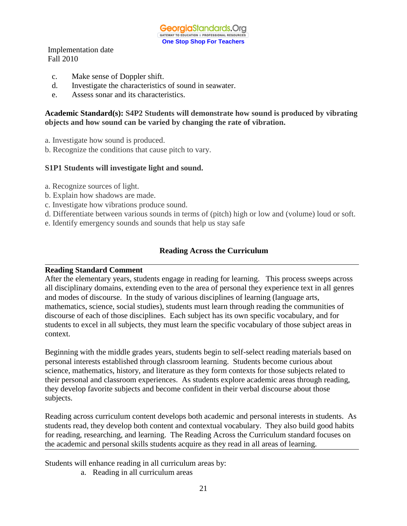GeorgiaStandards.Org GATEWAY TO EDUCATION & PROFESSIONAL RESOURCE **One Stop Shop For Teachers**

Implementation date Fall 2010

- c. Make sense of Doppler shift.
- d. Investigate the characteristics of sound in seawater.
- e. Assess sonar and its characteristics.

**Academic Standard(s): S4P2 Students will demonstrate how sound is produced by vibrating objects and how sound can be varied by changing the rate of vibration.**

- a. Investigate how sound is produced.
- b. Recognize the conditions that cause pitch to vary.

#### **S1P1 Students will investigate light and sound.**

- a. Recognize sources of light.
- b. Explain how shadows are made.
- c. Investigate how vibrations produce sound.
- d. Differentiate between various sounds in terms of (pitch) high or low and (volume) loud or soft.
- e. Identify emergency sounds and sounds that help us stay safe

#### **Reading Across the Curriculum**

#### **Reading Standard Comment**

After the elementary years, students engage in reading for learning. This process sweeps across all disciplinary domains, extending even to the area of personal they experience text in all genres and modes of discourse. In the study of various disciplines of learning (language arts, mathematics, science, social studies), students must learn through reading the communities of discourse of each of those disciplines. Each subject has its own specific vocabulary, and for students to excel in all subjects, they must learn the specific vocabulary of those subject areas in context.

Beginning with the middle grades years, students begin to self-select reading materials based on personal interests established through classroom learning. Students become curious about science, mathematics, history, and literature as they form contexts for those subjects related to their personal and classroom experiences. As students explore academic areas through reading, they develop favorite subjects and become confident in their verbal discourse about those subjects.

Reading across curriculum content develops both academic and personal interests in students. As students read, they develop both content and contextual vocabulary. They also build good habits for reading, researching, and learning. The Reading Across the Curriculum standard focuses on the academic and personal skills students acquire as they read in all areas of learning.

Students will enhance reading in all curriculum areas by:

a. Reading in all curriculum areas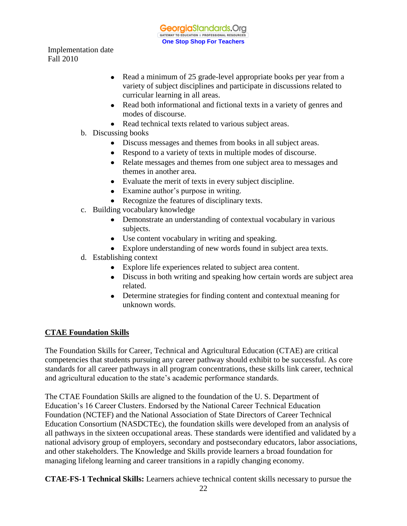- Read a minimum of 25 grade-level appropriate books per year from a  $\bullet$ variety of subject disciplines and participate in discussions related to curricular learning in all areas.
- Read both informational and fictional texts in a variety of genres and modes of discourse.
- Read technical texts related to various subject areas.
- b. Discussing books
	- Discuss messages and themes from books in all subject areas.
	- Respond to a variety of texts in multiple modes of discourse.
	- Relate messages and themes from one subject area to messages and themes in another area.
	- Evaluate the merit of texts in every subject discipline.
	- Examine author's purpose in writing.
	- Recognize the features of disciplinary texts.
- c. Building vocabulary knowledge
	- Demonstrate an understanding of contextual vocabulary in various subjects.
	- Use content vocabulary in writing and speaking.
	- Explore understanding of new words found in subject area texts.
- d. Establishing context
	- Explore life experiences related to subject area content.
	- Discuss in both writing and speaking how certain words are subject area related.
	- Determine strategies for finding content and contextual meaning for unknown words.

## **CTAE Foundation Skills**

The Foundation Skills for Career, Technical and Agricultural Education (CTAE) are critical competencies that students pursuing any career pathway should exhibit to be successful. As core standards for all career pathways in all program concentrations, these skills link career, technical and agricultural education to the state's academic performance standards.

The CTAE Foundation Skills are aligned to the foundation of the U. S. Department of Education's 16 Career Clusters. Endorsed by the National Career Technical Education Foundation (NCTEF) and the National Association of State Directors of Career Technical Education Consortium (NASDCTEc), the foundation skills were developed from an analysis of all pathways in the sixteen occupational areas. These standards were identified and validated by a national advisory group of employers, secondary and postsecondary educators, labor associations, and other stakeholders. The Knowledge and Skills provide learners a broad foundation for managing lifelong learning and career transitions in a rapidly changing economy.

**CTAE-FS-1 Technical Skills:** Learners achieve technical content skills necessary to pursue the